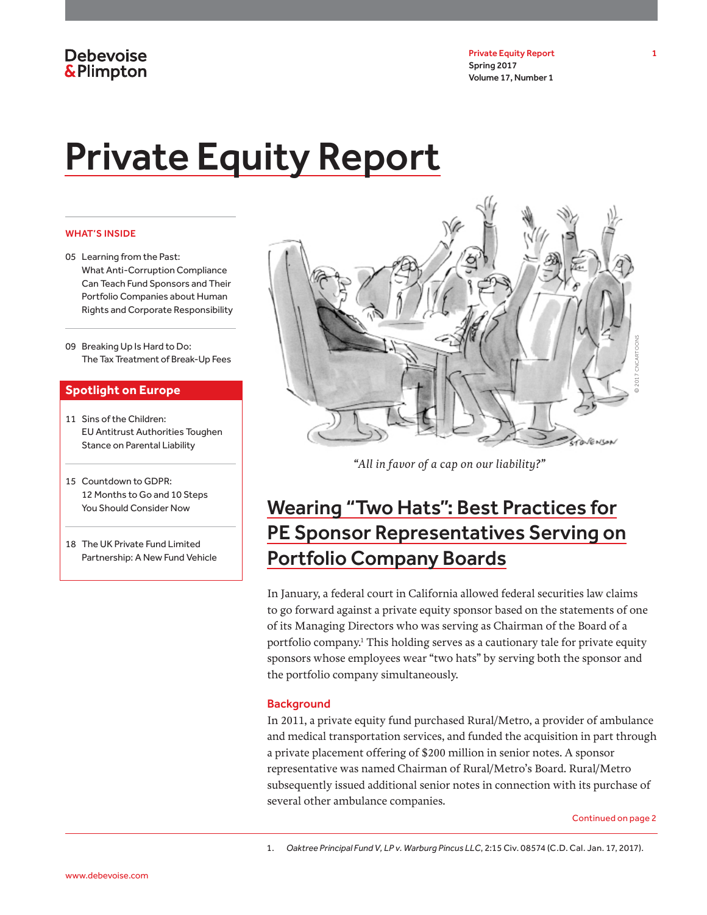Private Equity Report 1 Spring 2017 Volume 17, Number 1

# Private Equity Report

#### WHAT'S INSIDE

- 05 Learning from the Past: What Anti-Corruption Compliance Can Teach Fund Sponsors and Their Portfolio Companies about Human Rights and Corporate Responsibility
- 09 Breaking Up Is Hard to Do: The Tax Treatment of Break-Up Fees

### **Spotlight on Europe**

- 11 Sins of the Children: EU Antitrust Authorities Toughen Stance on Parental Liability
- 15 Countdown to GDPR: 12 Months to Go and 10 Steps You Should Consider Now
- 18 The UK Private Fund Limited Partnership: A New Fund Vehicle



*"All in favor of a cap on our liability?"*

# Wearing "Two Hats": Best Practices for PE Sponsor Representatives Serving on Portfolio Company Boards

In January, a federal court in California allowed federal securities law claims to go forward against a private equity sponsor based on the statements of one of its Managing Directors who was serving as Chairman of the Board of a portfolio company.1 This holding serves as a cautionary tale for private equity sponsors whose employees wear "two hats" by serving both the sponsor and the portfolio company simultaneously.

#### **Background**

In 2011, a private equity fund purchased Rural/Metro, a provider of ambulance and medical transportation services, and funded the acquisition in part through a private placement offering of \$200 million in senior notes. A sponsor representative was named Chairman of Rural/Metro's Board. Rural/Metro subsequently issued additional senior notes in connection with its purchase of several other ambulance companies.

Continued on page 2

1. *Oaktree Principal Fund V, LP v. Warburg Pincus LLC*, 2:15 Civ. 08574 (C.D. Cal. Jan. 17, 2017).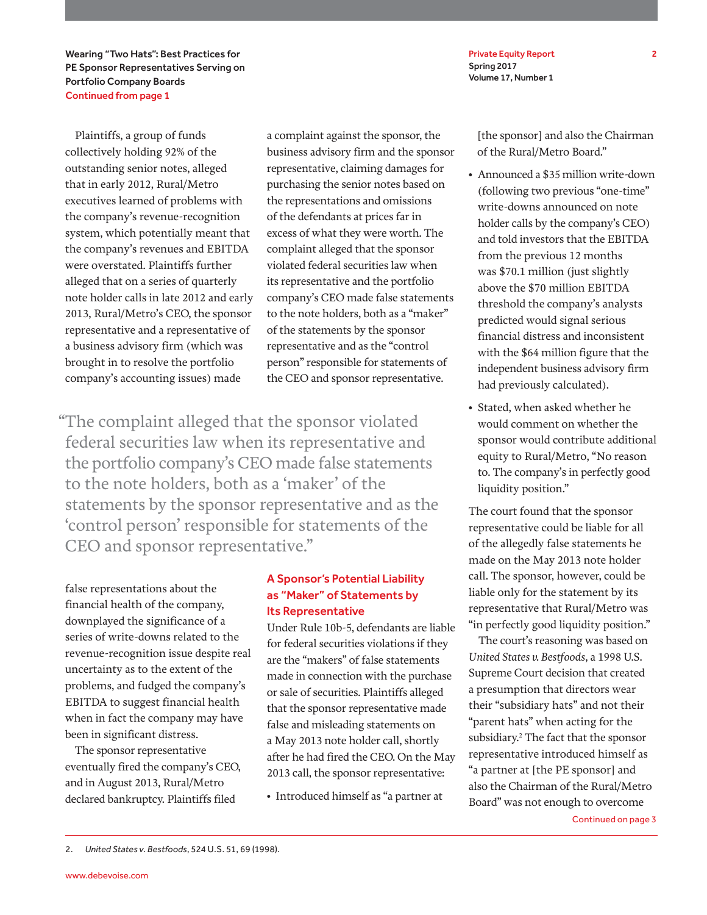Wearing "Two Hats": Best Practices for PE Sponsor Representatives Serving on Portfolio Company Boards Continued from page 1

Plaintiffs, a group of funds collectively holding 92% of the outstanding senior notes, alleged that in early 2012, Rural/Metro executives learned of problems with the company's revenue-recognition system, which potentially meant that the company's revenues and EBITDA were overstated. Plaintiffs further alleged that on a series of quarterly note holder calls in late 2012 and early 2013, Rural/Metro's CEO, the sponsor representative and a representative of a business advisory firm (which was brought in to resolve the portfolio company's accounting issues) made

a complaint against the sponsor, the business advisory firm and the sponsor representative, claiming damages for purchasing the senior notes based on the representations and omissions of the defendants at prices far in excess of what they were worth. The complaint alleged that the sponsor violated federal securities law when its representative and the portfolio company's CEO made false statements to the note holders, both as a "maker" of the statements by the sponsor representative and as the "control person" responsible for statements of the CEO and sponsor representative.

"The complaint alleged that the sponsor violated federal securities law when its representative and the portfolio company's CEO made false statements to the note holders, both as a 'maker' of the statements by the sponsor representative and as the 'control person' responsible for statements of the CEO and sponsor representative."

false representations about the financial health of the company, downplayed the significance of a series of write-downs related to the revenue-recognition issue despite real uncertainty as to the extent of the problems, and fudged the company's EBITDA to suggest financial health when in fact the company may have been in significant distress.

The sponsor representative eventually fired the company's CEO, and in August 2013, Rural/Metro declared bankruptcy. Plaintiffs filed

### A Sponsor's Potential Liability as "Maker" of Statements by Its Representative

Under Rule 10b-5, defendants are liable for federal securities violations if they are the "makers" of false statements made in connection with the purchase or sale of securities. Plaintiffs alleged that the sponsor representative made false and misleading statements on a May 2013 note holder call, shortly after he had fired the CEO. On the May 2013 call, the sponsor representative:

• Introduced himself as "a partner at

Private Equity Report 2 Spring 2017 Volume 17, Number 1

[the sponsor] and also the Chairman of the Rural/Metro Board."

- Announced a \$35 million write-down (following two previous "one-time" write-downs announced on note holder calls by the company's CEO) and told investors that the EBITDA from the previous 12 months was \$70.1 million (just slightly above the \$70 million EBITDA threshold the company's analysts predicted would signal serious financial distress and inconsistent with the \$64 million figure that the independent business advisory firm had previously calculated).
- Stated, when asked whether he would comment on whether the sponsor would contribute additional equity to Rural/Metro, "No reason to. The company's in perfectly good liquidity position."

The court found that the sponsor representative could be liable for all of the allegedly false statements he made on the May 2013 note holder call. The sponsor, however, could be liable only for the statement by its representative that Rural/Metro was "in perfectly good liquidity position."

The court's reasoning was based on *United States v. Bestfoods*, a 1998 U.S. Supreme Court decision that created a presumption that directors wear their "subsidiary hats" and not their "parent hats" when acting for the subsidiary.2 The fact that the sponsor representative introduced himself as "a partner at [the PE sponsor] and also the Chairman of the Rural/Metro Board" was not enough to overcome Continued on page 3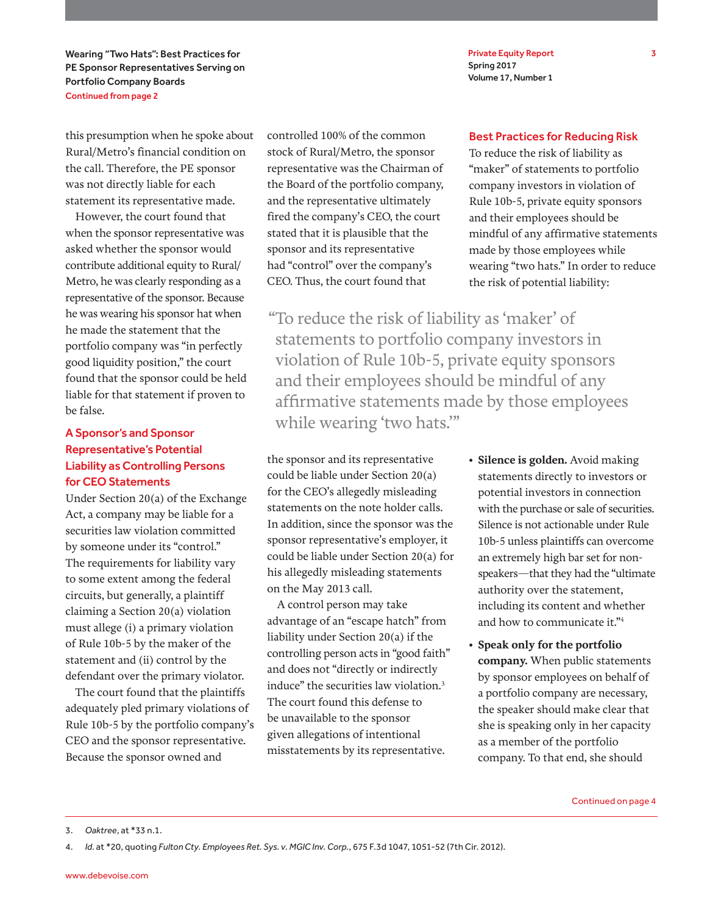Wearing "Two Hats": Best Practices for PE Sponsor Representatives Serving on Portfolio Company Boards Continued from page 2

this presumption when he spoke about Rural/Metro's financial condition on the call. Therefore, the PE sponsor was not directly liable for each statement its representative made.

However, the court found that when the sponsor representative was asked whether the sponsor would contribute additional equity to Rural/ Metro, he was clearly responding as a representative of the sponsor. Because he was wearing his sponsor hat when he made the statement that the portfolio company was "in perfectly good liquidity position," the court found that the sponsor could be held liable for that statement if proven to be false.

### A Sponsor's and Sponsor Representative's Potential Liability as Controlling Persons for CEO Statements

Under Section 20(a) of the Exchange Act, a company may be liable for a securities law violation committed by someone under its "control." The requirements for liability vary to some extent among the federal circuits, but generally, a plaintiff claiming a Section 20(a) violation must allege (i) a primary violation of Rule 10b-5 by the maker of the statement and (ii) control by the defendant over the primary violator.

The court found that the plaintiffs adequately pled primary violations of Rule 10b-5 by the portfolio company's CEO and the sponsor representative. Because the sponsor owned and

controlled 100% of the common stock of Rural/Metro, the sponsor representative was the Chairman of the Board of the portfolio company, and the representative ultimately fired the company's CEO, the court stated that it is plausible that the sponsor and its representative had "control" over the company's CEO. Thus, the court found that

"To reduce the risk of liability as 'maker' of statements to portfolio company investors in violation of Rule 10b-5, private equity sponsors and their employees should be mindful of any affirmative statements made by those employees while wearing 'two hats.'"

the sponsor and its representative could be liable under Section 20(a) for the CEO's allegedly misleading statements on the note holder calls. In addition, since the sponsor was the sponsor representative's employer, it could be liable under Section 20(a) for his allegedly misleading statements on the May 2013 call.

A control person may take advantage of an "escape hatch" from liability under Section 20(a) if the controlling person acts in "good faith" and does not "directly or indirectly induce" the securities law violation.<sup>3</sup> The court found this defense to be unavailable to the sponsor given allegations of intentional misstatements by its representative.

• **Silence is golden.** Avoid making statements directly to investors or potential investors in connection with the purchase or sale of securities. Silence is not actionable under Rule 10b-5 unless plaintiffs can overcome an extremely high bar set for nonspeakers—that they had the "ultimate authority over the statement,

• **Speak only for the portfolio company.** When public statements by sponsor employees on behalf of a portfolio company are necessary, the speaker should make clear that she is speaking only in her capacity as a member of the portfolio company. To that end, she should

including its content and whether and how to communicate it."4

Private Equity Report 3 Spring 2017 Volume 17, Number 1

### Best Practices for Reducing Risk

To reduce the risk of liability as "maker" of statements to portfolio company investors in violation of Rule 10b-5, private equity sponsors and their employees should be mindful of any affirmative statements made by those employees while wearing "two hats." In order to reduce the risk of potential liability:

<sup>3.</sup> *Oaktree*, at \*33 n.1.

<sup>4.</sup> *Id.* at \*20, quoting *Fulton Cty. Employees Ret. Sys. v. MGIC Inv. Corp.*, 675 F.3d 1047, 1051-52 (7th Cir. 2012).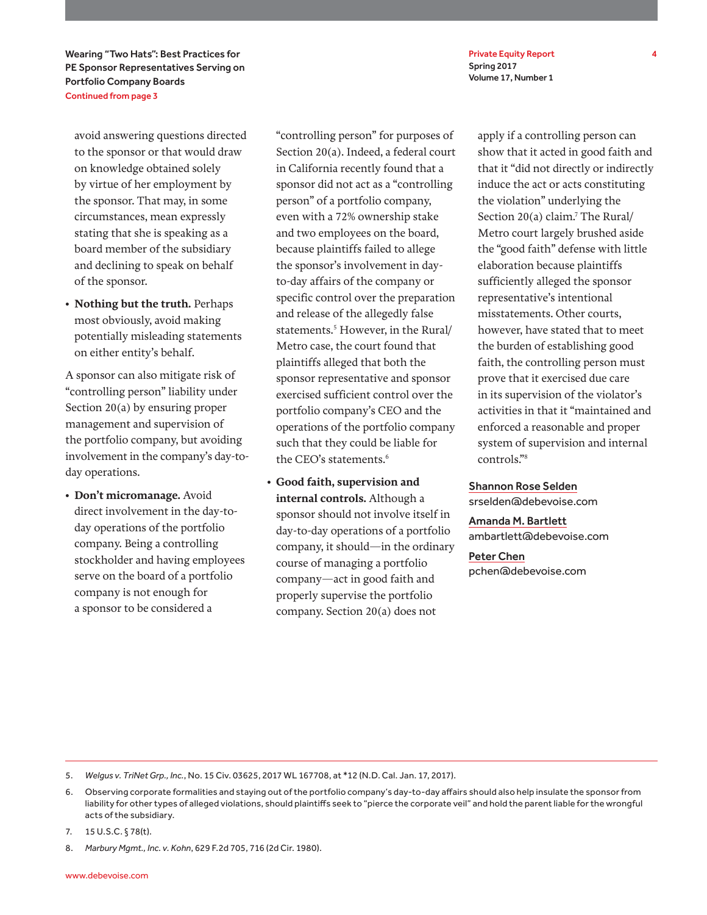Private Equity Report 4 Spring 2017 Volume 17, Number 1

Wearing "Two Hats": Best Practices for PE Sponsor Representatives Serving on Portfolio Company Boards Continued from page 3

avoid answering questions directed to the sponsor or that would draw on knowledge obtained solely by virtue of her employment by the sponsor. That may, in some circumstances, mean expressly stating that she is speaking as a board member of the subsidiary and declining to speak on behalf of the sponsor.

• **Nothing but the truth.** Perhaps most obviously, avoid making potentially misleading statements on either entity's behalf.

A sponsor can also mitigate risk of "controlling person" liability under Section 20(a) by ensuring proper management and supervision of the portfolio company, but avoiding involvement in the company's day-today operations.

• **Don't micromanage.** Avoid direct involvement in the day-today operations of the portfolio company. Being a controlling stockholder and having employees serve on the board of a portfolio company is not enough for a sponsor to be considered a

"controlling person" for purposes of Section 20(a). Indeed, a federal court in California recently found that a sponsor did not act as a "controlling person" of a portfolio company, even with a 72% ownership stake and two employees on the board, because plaintiffs failed to allege the sponsor's involvement in dayto-day affairs of the company or specific control over the preparation and release of the allegedly false statements.<sup>5</sup> However, in the Rural/ Metro case, the court found that plaintiffs alleged that both the sponsor representative and sponsor exercised sufficient control over the portfolio company's CEO and the operations of the portfolio company such that they could be liable for the CEO's statements.<sup>6</sup>

• **Good faith, supervision and internal controls.** Although a sponsor should not involve itself in day-to-day operations of a portfolio company, it should—in the ordinary course of managing a portfolio company—act in good faith and properly supervise the portfolio company. Section 20(a) does not

apply if a controlling person can show that it acted in good faith and that it "did not directly or indirectly induce the act or acts constituting the violation" underlying the Section 20(a) claim.<sup>7</sup> The Rural/ Metro court largely brushed aside the "good faith" defense with little elaboration because plaintiffs sufficiently alleged the sponsor representative's intentional misstatements. Other courts, however, have stated that to meet the burden of establishing good faith, the controlling person must prove that it exercised due care in its supervision of the violator's activities in that it "maintained and enforced a reasonable and proper system of supervision and internal controls."8

Shannon Rose Selden srselden@debevoise.com

Amanda M. Bartlett ambartlett@debevoise.com

Peter Chen pchen@debevoise.com

#### 5. *Welgus v. TriNet Grp., Inc.*, No. 15 Civ. 03625, 2017 WL 167708, at \*12 (N.D. Cal. Jan. 17, 2017).

8. *Marbury Mgmt., Inc. v. Kohn*, 629 F.2d 705, 716 (2d Cir. 1980).

<sup>6.</sup> Observing corporate formalities and staying out of the portfolio company's day-to-day affairs should also help insulate the sponsor from liability for other types of alleged violations, should plaintiffs seek to "pierce the corporate veil" and hold the parent liable for the wrongful acts of the subsidiary.

<sup>7.</sup> 15 U.S.C. § 78(t).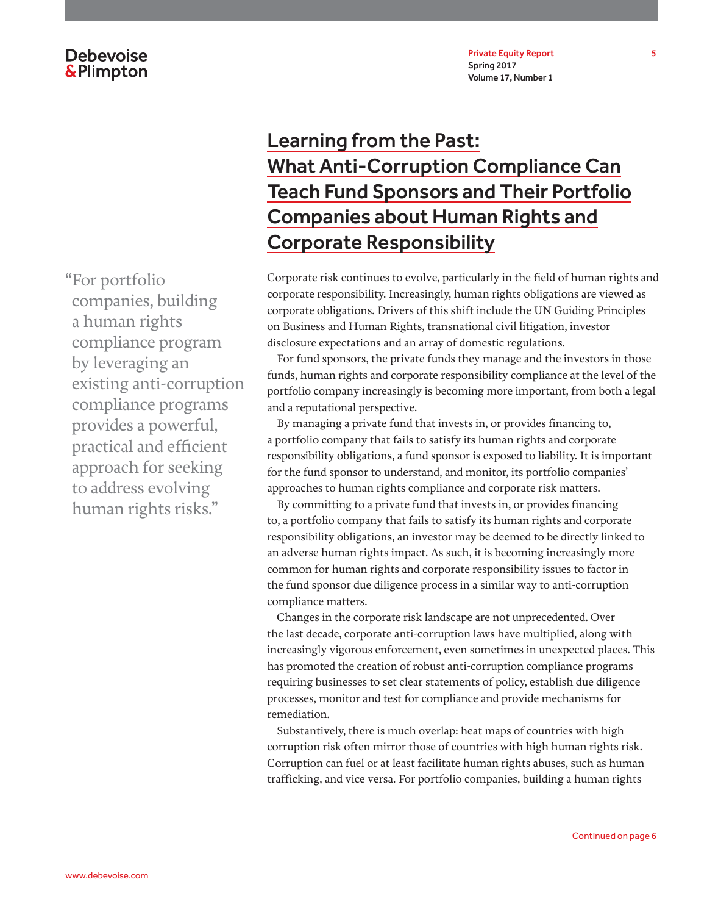# Learning from the Past: What Anti-Corruption Compliance Can Teach Fund Sponsors and Their Portfolio Companies about Human Rights and Corporate Responsibility

Corporate risk continues to evolve, particularly in the field of human rights and corporate responsibility. Increasingly, human rights obligations are viewed as corporate obligations. Drivers of this shift include the UN Guiding Principles on Business and Human Rights, transnational civil litigation, investor disclosure expectations and an array of domestic regulations.

For fund sponsors, the private funds they manage and the investors in those funds, human rights and corporate responsibility compliance at the level of the portfolio company increasingly is becoming more important, from both a legal and a reputational perspective.

By managing a private fund that invests in, or provides financing to, a portfolio company that fails to satisfy its human rights and corporate responsibility obligations, a fund sponsor is exposed to liability. It is important for the fund sponsor to understand, and monitor, its portfolio companies' approaches to human rights compliance and corporate risk matters.

By committing to a private fund that invests in, or provides financing to, a portfolio company that fails to satisfy its human rights and corporate responsibility obligations, an investor may be deemed to be directly linked to an adverse human rights impact. As such, it is becoming increasingly more common for human rights and corporate responsibility issues to factor in the fund sponsor due diligence process in a similar way to anti-corruption compliance matters.

Changes in the corporate risk landscape are not unprecedented. Over the last decade, corporate anti-corruption laws have multiplied, along with increasingly vigorous enforcement, even sometimes in unexpected places. This has promoted the creation of robust anti-corruption compliance programs requiring businesses to set clear statements of policy, establish due diligence processes, monitor and test for compliance and provide mechanisms for remediation.

Substantively, there is much overlap: heat maps of countries with high corruption risk often mirror those of countries with high human rights risk. Corruption can fuel or at least facilitate human rights abuses, such as human trafficking, and vice versa. For portfolio companies, building a human rights

"For portfolio companies, building a human rights compliance program by leveraging an existing anti-corruption compliance programs provides a powerful, practical and efficient approach for seeking to address evolving human rights risks."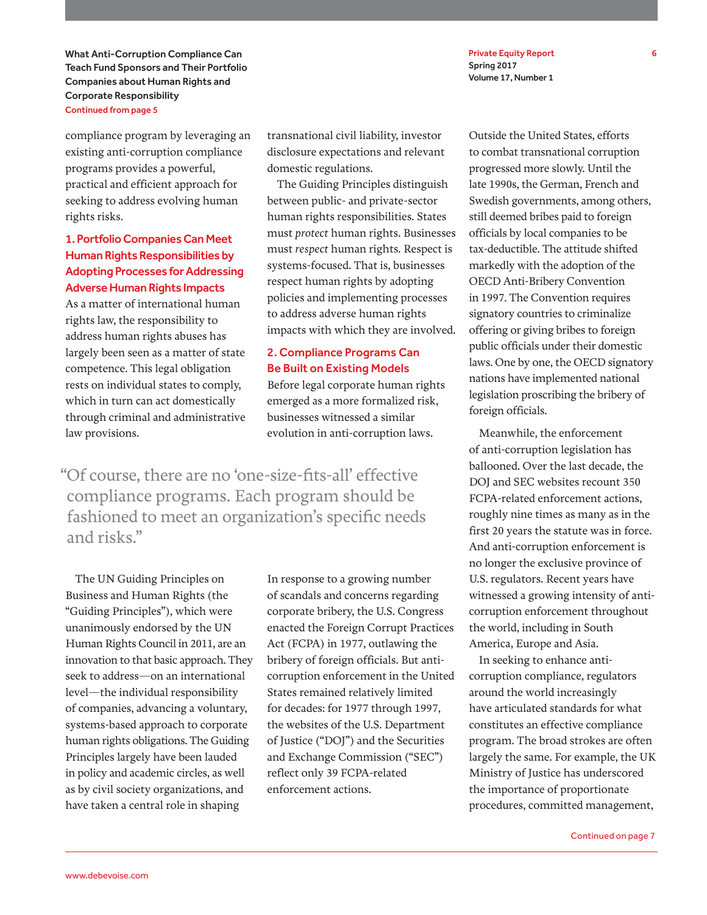What Anti-Corruption Compliance Can Teach Fund Sponsors and Their Portfolio Companies about Human Rights and Corporate Responsibility Continued from page 5

compliance program by leveraging an existing anti-corruption compliance programs provides a powerful, practical and efficient approach for seeking to address evolving human rights risks.

### 1. Portfolio Companies Can Meet Human Rights Responsibilities by Adopting Processes for Addressing Adverse Human Rights Impacts

As a matter of international human rights law, the responsibility to address human rights abuses has largely been seen as a matter of state competence. This legal obligation rests on individual states to comply, which in turn can act domestically through criminal and administrative law provisions.

transnational civil liability, investor disclosure expectations and relevant domestic regulations.

The Guiding Principles distinguish between public- and private-sector human rights responsibilities. States must *protect* human rights. Businesses must *respect* human rights. Respect is systems-focused. That is, businesses respect human rights by adopting policies and implementing processes to address adverse human rights impacts with which they are involved.

### 2. Compliance Programs Can Be Built on Existing Models

Before legal corporate human rights emerged as a more formalized risk, businesses witnessed a similar evolution in anti-corruption laws.

"Of course, there are no 'one-size-fits-all' effective compliance programs. Each program should be fashioned to meet an organization's specific needs and risks."

The UN Guiding Principles on Business and Human Rights (the "Guiding Principles"), which were unanimously endorsed by the UN Human Rights Council in 2011, are an innovation to that basic approach. They seek to address—on an international level—the individual responsibility of companies, advancing a voluntary, systems-based approach to corporate human rights obligations. The Guiding Principles largely have been lauded in policy and academic circles, as well as by civil society organizations, and have taken a central role in shaping

In response to a growing number of scandals and concerns regarding corporate bribery, the U.S. Congress enacted the Foreign Corrupt Practices Act (FCPA) in 1977, outlawing the bribery of foreign officials. But anticorruption enforcement in the United States remained relatively limited for decades: for 1977 through 1997, the websites of the U.S. Department of Justice ("DOJ") and the Securities and Exchange Commission ("SEC") reflect only 39 FCPA-related enforcement actions.

Private Equity Report 6 Spring 2017 Volume 17, Number 1

Outside the United States, efforts to combat transnational corruption progressed more slowly. Until the late 1990s, the German, French and Swedish governments, among others, still deemed bribes paid to foreign officials by local companies to be tax-deductible. The attitude shifted markedly with the adoption of the OECD Anti-Bribery Convention in 1997. The Convention requires signatory countries to criminalize offering or giving bribes to foreign public officials under their domestic laws. One by one, the OECD signatory nations have implemented national legislation proscribing the bribery of foreign officials.

Meanwhile, the enforcement of anti-corruption legislation has ballooned. Over the last decade, the DOI and SEC websites recount 350 FCPA-related enforcement actions, roughly nine times as many as in the first 20 years the statute was in force. And anti-corruption enforcement is no longer the exclusive province of U.S. regulators. Recent years have witnessed a growing intensity of anticorruption enforcement throughout the world, including in South America, Europe and Asia.

In seeking to enhance anticorruption compliance, regulators around the world increasingly have articulated standards for what constitutes an effective compliance program. The broad strokes are often largely the same. For example, the UK Ministry of Justice has underscored the importance of proportionate procedures, committed management,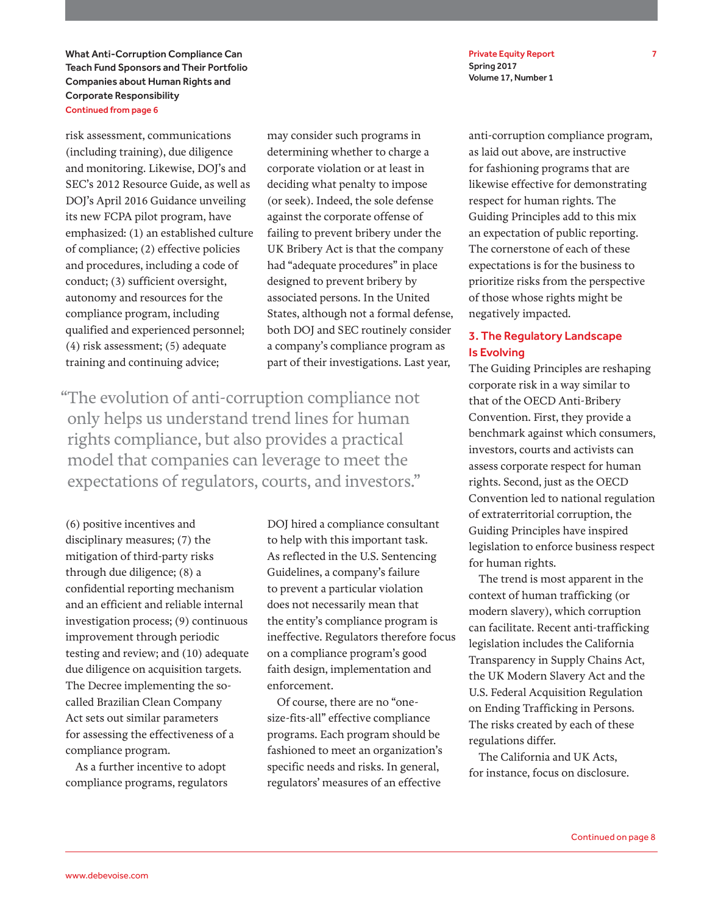What Anti-Corruption Compliance Can Teach Fund Sponsors and Their Portfolio Companies about Human Rights and Corporate Responsibility Continued from page 6

risk assessment, communications (including training), due diligence and monitoring. Likewise, DOJ's and SEC's 2012 Resource Guide, as well as DOJ's April 2016 Guidance unveiling its new FCPA pilot program, have emphasized: (1) an established culture of compliance; (2) effective policies and procedures, including a code of conduct; (3) sufficient oversight, autonomy and resources for the compliance program, including qualified and experienced personnel; (4) risk assessment; (5) adequate training and continuing advice;

may consider such programs in determining whether to charge a corporate violation or at least in deciding what penalty to impose (or seek). Indeed, the sole defense against the corporate offense of failing to prevent bribery under the UK Bribery Act is that the company had "adequate procedures" in place designed to prevent bribery by associated persons. In the United States, although not a formal defense, both DOJ and SEC routinely consider a company's compliance program as part of their investigations. Last year,

"The evolution of anti-corruption compliance not only helps us understand trend lines for human rights compliance, but also provides a practical model that companies can leverage to meet the expectations of regulators, courts, and investors."

(6) positive incentives and disciplinary measures; (7) the mitigation of third-party risks through due diligence; (8) a confidential reporting mechanism and an efficient and reliable internal investigation process; (9) continuous improvement through periodic testing and review; and (10) adequate due diligence on acquisition targets. The Decree implementing the socalled Brazilian Clean Company Act sets out similar parameters for assessing the effectiveness of a compliance program.

As a further incentive to adopt compliance programs, regulators

DOJ hired a compliance consultant to help with this important task. As reflected in the U.S. Sentencing Guidelines, a company's failure to prevent a particular violation does not necessarily mean that the entity's compliance program is ineffective. Regulators therefore focus on a compliance program's good faith design, implementation and enforcement.

Of course, there are no "onesize-fits-all" effective compliance programs. Each program should be fashioned to meet an organization's specific needs and risks. In general, regulators' measures of an effective

Private Equity Report 7 Spring 2017 Volume 17, Number 1

anti-corruption compliance program, as laid out above, are instructive for fashioning programs that are likewise effective for demonstrating respect for human rights. The Guiding Principles add to this mix an expectation of public reporting. The cornerstone of each of these expectations is for the business to prioritize risks from the perspective of those whose rights might be negatively impacted.

### 3. The Regulatory Landscape Is Evolving

The Guiding Principles are reshaping corporate risk in a way similar to that of the OECD Anti-Bribery Convention. First, they provide a benchmark against which consumers, investors, courts and activists can assess corporate respect for human rights. Second, just as the OECD Convention led to national regulation of extraterritorial corruption, the Guiding Principles have inspired legislation to enforce business respect for human rights.

The trend is most apparent in the context of human trafficking (or modern slavery), which corruption can facilitate. Recent anti-trafficking legislation includes the California Transparency in Supply Chains Act, the UK Modern Slavery Act and the U.S. Federal Acquisition Regulation on Ending Trafficking in Persons. The risks created by each of these regulations differ.

The California and UK Acts, for instance, focus on disclosure.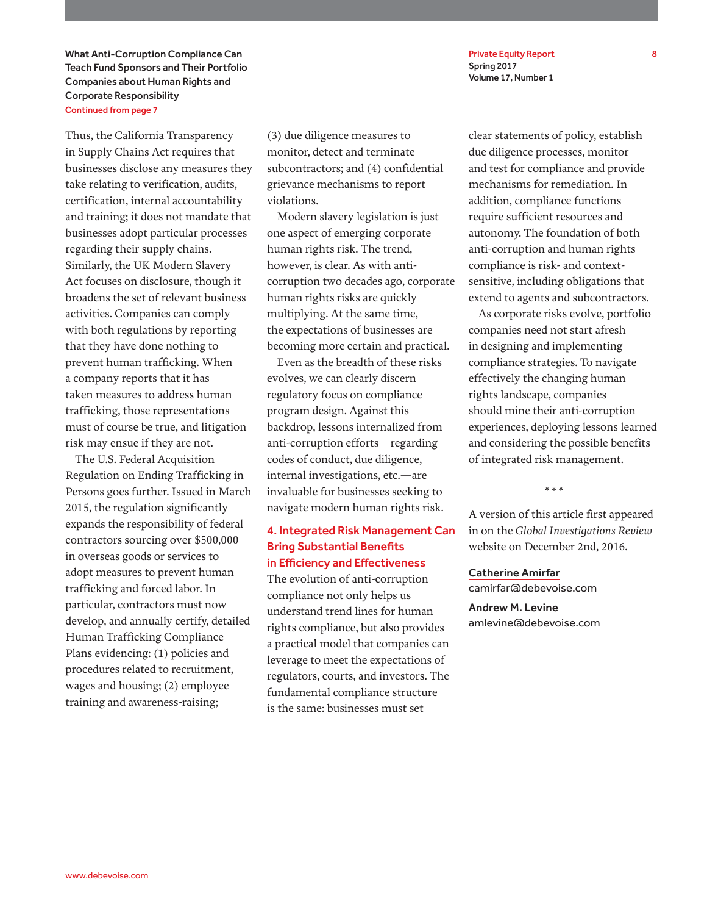What Anti-Corruption Compliance Can Teach Fund Sponsors and Their Portfolio Companies about Human Rights and Corporate Responsibility Continued from page 7

Thus, the California Transparency in Supply Chains Act requires that businesses disclose any measures they take relating to verification, audits, certification, internal accountability and training; it does not mandate that businesses adopt particular processes regarding their supply chains. Similarly, the UK Modern Slavery Act focuses on disclosure, though it broadens the set of relevant business activities. Companies can comply with both regulations by reporting that they have done nothing to prevent human trafficking. When a company reports that it has taken measures to address human trafficking, those representations must of course be true, and litigation risk may ensue if they are not.

The U.S. Federal Acquisition Regulation on Ending Trafficking in Persons goes further. Issued in March 2015, the regulation significantly expands the responsibility of federal contractors sourcing over \$500,000 in overseas goods or services to adopt measures to prevent human trafficking and forced labor. In particular, contractors must now develop, and annually certify, detailed Human Trafficking Compliance Plans evidencing: (1) policies and procedures related to recruitment, wages and housing; (2) employee training and awareness-raising;

(3) due diligence measures to monitor, detect and terminate subcontractors; and (4) confidential grievance mechanisms to report violations.

Modern slavery legislation is just one aspect of emerging corporate human rights risk. The trend, however, is clear. As with anticorruption two decades ago, corporate human rights risks are quickly multiplying. At the same time, the expectations of businesses are becoming more certain and practical.

Even as the breadth of these risks evolves, we can clearly discern regulatory focus on compliance program design. Against this backdrop, lessons internalized from anti-corruption efforts—regarding codes of conduct, due diligence, internal investigations, etc.—are invaluable for businesses seeking to navigate modern human rights risk.

### 4. Integrated Risk Management Can Bring Substantial Benefits in Efficiency and Effectiveness

The evolution of anti-corruption compliance not only helps us understand trend lines for human rights compliance, but also provides a practical model that companies can leverage to meet the expectations of regulators, courts, and investors. The fundamental compliance structure is the same: businesses must set

Private Equity Report 8 Spring 2017 Volume 17, Number 1

clear statements of policy, establish due diligence processes, monitor and test for compliance and provide mechanisms for remediation. In addition, compliance functions require sufficient resources and autonomy. The foundation of both anti-corruption and human rights compliance is risk- and contextsensitive, including obligations that extend to agents and subcontractors.

As corporate risks evolve, portfolio companies need not start afresh in designing and implementing compliance strategies. To navigate effectively the changing human rights landscape, companies should mine their anti-corruption experiences, deploying lessons learned and considering the possible benefits of integrated risk management.

\* \* \*

A version of this article first appeared in on the *Global Investigations Review*  website on December 2nd, 2016.

Catherine Amirfar camirfar@debevoise.com

Andrew M. Levine amlevine@debevoise.com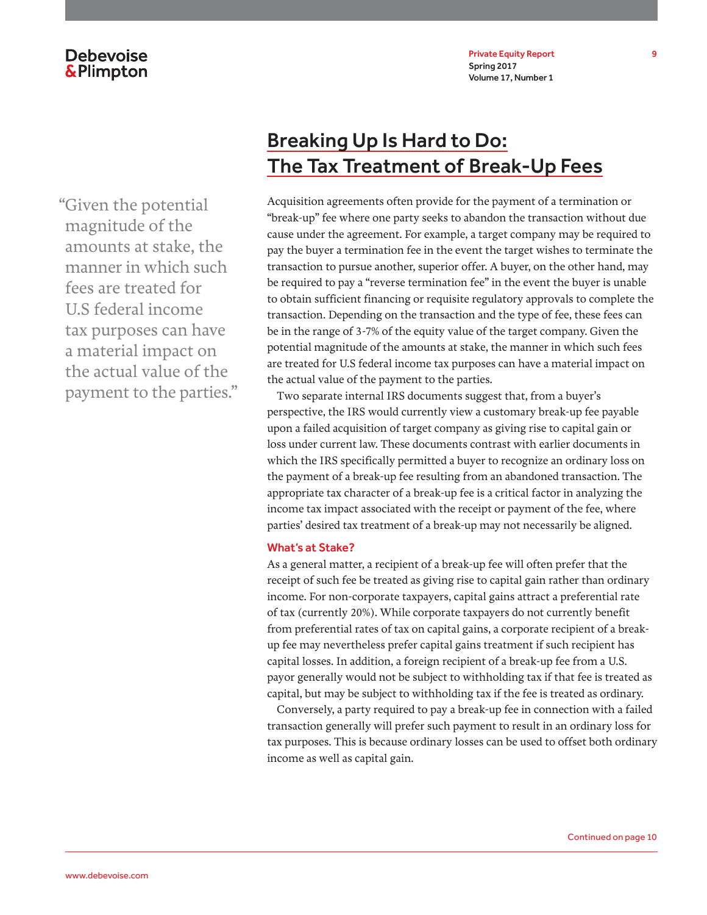Private Equity Report 9 Spring 2017 Volume 17, Number 1

### **Debevoise &Plimpton**

"Given the potential magnitude of the amounts at stake, the manner in which such fees are treated for U.S federal income tax purposes can have a material impact on the actual value of the payment to the parties."

# Breaking Up Is Hard to Do: The Tax Treatment of Break-Up Fees

Acquisition agreements often provide for the payment of a termination or "break-up" fee where one party seeks to abandon the transaction without due cause under the agreement. For example, a target company may be required to pay the buyer a termination fee in the event the target wishes to terminate the transaction to pursue another, superior offer. A buyer, on the other hand, may be required to pay a "reverse termination fee" in the event the buyer is unable to obtain sufficient financing or requisite regulatory approvals to complete the transaction. Depending on the transaction and the type of fee, these fees can be in the range of 3-7% of the equity value of the target company. Given the potential magnitude of the amounts at stake, the manner in which such fees are treated for U.S federal income tax purposes can have a material impact on the actual value of the payment to the parties.

Two separate internal IRS documents suggest that, from a buyer's perspective, the IRS would currently view a customary break-up fee payable upon a failed acquisition of target company as giving rise to capital gain or loss under current law. These documents contrast with earlier documents in which the IRS specifically permitted a buyer to recognize an ordinary loss on the payment of a break-up fee resulting from an abandoned transaction. The appropriate tax character of a break-up fee is a critical factor in analyzing the income tax impact associated with the receipt or payment of the fee, where parties' desired tax treatment of a break-up may not necessarily be aligned.

### What's at Stake?

As a general matter, a recipient of a break-up fee will often prefer that the receipt of such fee be treated as giving rise to capital gain rather than ordinary income. For non-corporate taxpayers, capital gains attract a preferential rate of tax (currently 20%). While corporate taxpayers do not currently benefit from preferential rates of tax on capital gains, a corporate recipient of a breakup fee may nevertheless prefer capital gains treatment if such recipient has capital losses. In addition, a foreign recipient of a break-up fee from a U.S. payor generally would not be subject to withholding tax if that fee is treated as capital, but may be subject to withholding tax if the fee is treated as ordinary.

Conversely, a party required to pay a break-up fee in connection with a failed transaction generally will prefer such payment to result in an ordinary loss for tax purposes. This is because ordinary losses can be used to offset both ordinary income as well as capital gain.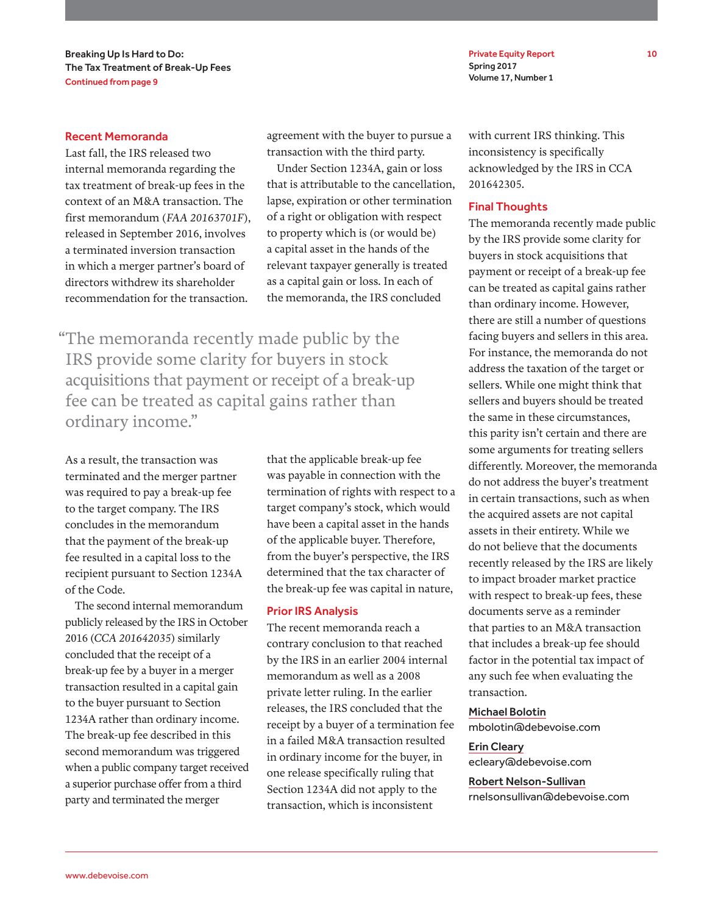Private Equity Report 10 Spring 2017 Volume 17, Number 1

### Recent Memoranda

Last fall, the IRS released two internal memoranda regarding the tax treatment of break-up fees in the context of an M&A transaction. The first memorandum (*FAA 20163701F*), released in September 2016, involves a terminated inversion transaction in which a merger partner's board of directors withdrew its shareholder recommendation for the transaction.

agreement with the buyer to pursue a transaction with the third party.

Under Section 1234A, gain or loss that is attributable to the cancellation, lapse, expiration or other termination of a right or obligation with respect to property which is (or would be) a capital asset in the hands of the relevant taxpayer generally is treated as a capital gain or loss. In each of the memoranda, the IRS concluded

"The memoranda recently made public by the IRS provide some clarity for buyers in stock acquisitions that payment or receipt of a break-up fee can be treated as capital gains rather than ordinary income."

As a result, the transaction was terminated and the merger partner was required to pay a break-up fee to the target company. The IRS concludes in the memorandum that the payment of the break-up fee resulted in a capital loss to the recipient pursuant to Section 1234A of the Code.

The second internal memorandum publicly released by the IRS in October 2016 (*CCA 201642035*) similarly concluded that the receipt of a break-up fee by a buyer in a merger transaction resulted in a capital gain to the buyer pursuant to Section 1234A rather than ordinary income. The break-up fee described in this second memorandum was triggered when a public company target received a superior purchase offer from a third party and terminated the merger

that the applicable break-up fee was payable in connection with the termination of rights with respect to a target company's stock, which would have been a capital asset in the hands of the applicable buyer. Therefore, from the buyer's perspective, the IRS determined that the tax character of the break-up fee was capital in nature,

### Prior IRS Analysis

The recent memoranda reach a contrary conclusion to that reached by the IRS in an earlier 2004 internal memorandum as well as a 2008 private letter ruling. In the earlier releases, the IRS concluded that the receipt by a buyer of a termination fee in a failed M&A transaction resulted in ordinary income for the buyer, in one release specifically ruling that Section 1234A did not apply to the transaction, which is inconsistent

with current IRS thinking. This inconsistency is specifically acknowledged by the IRS in CCA 201642305.

### Final Thoughts

The memoranda recently made public by the IRS provide some clarity for buyers in stock acquisitions that payment or receipt of a break-up fee can be treated as capital gains rather than ordinary income. However, there are still a number of questions facing buyers and sellers in this area. For instance, the memoranda do not address the taxation of the target or sellers. While one might think that sellers and buyers should be treated the same in these circumstances, this parity isn't certain and there are some arguments for treating sellers differently. Moreover, the memoranda do not address the buyer's treatment in certain transactions, such as when the acquired assets are not capital assets in their entirety. While we do not believe that the documents recently released by the IRS are likely to impact broader market practice with respect to break-up fees, these documents serve as a reminder that parties to an M&A transaction that includes a break-up fee should factor in the potential tax impact of any such fee when evaluating the transaction.

### Michael Bolotin

mbolotin@debevoise.com

#### Erin Cleary

ecleary@debevoise.com

### Robert Nelson-Sullivan

rnelsonsullivan@debevoise.com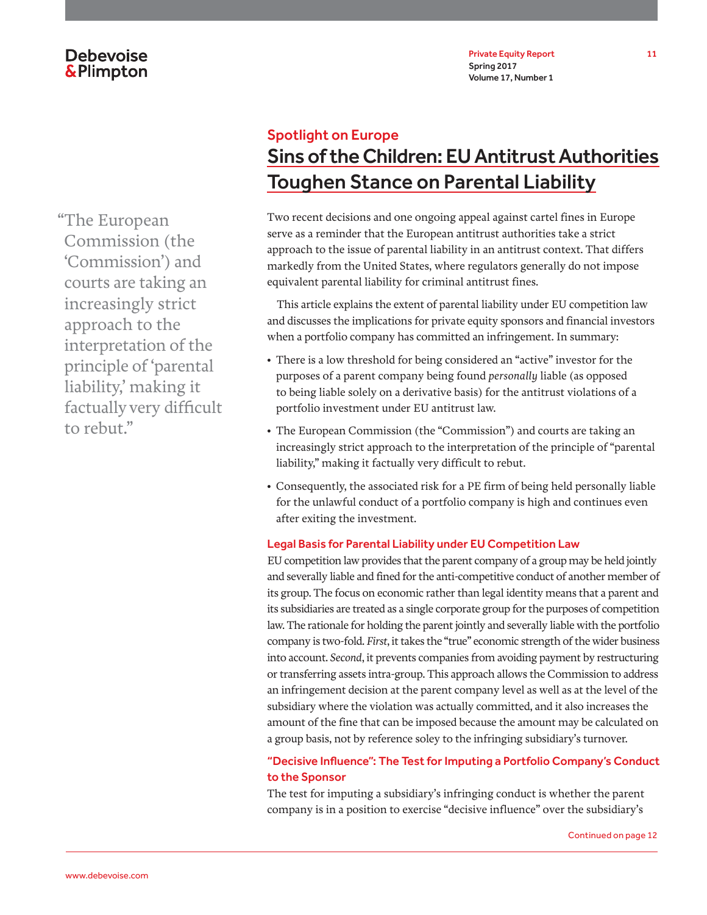Private Equity Report 11 Spring 2017 Volume 17, Number 1

# Spotlight on Europe Sins of the Children: EU Antitrust Authorities Toughen Stance on Parental Liability

Two recent decisions and one ongoing appeal against cartel fines in Europe serve as a reminder that the European antitrust authorities take a strict approach to the issue of parental liability in an antitrust context. That differs markedly from the United States, where regulators generally do not impose equivalent parental liability for criminal antitrust fines.

This article explains the extent of parental liability under EU competition law and discusses the implications for private equity sponsors and financial investors when a portfolio company has committed an infringement. In summary:

- There is a low threshold for being considered an "active" investor for the purposes of a parent company being found *personally* liable (as opposed to being liable solely on a derivative basis) for the antitrust violations of a portfolio investment under EU antitrust law.
- The European Commission (the "Commission") and courts are taking an increasingly strict approach to the interpretation of the principle of "parental liability," making it factually very difficult to rebut.
- Consequently, the associated risk for a PE firm of being held personally liable for the unlawful conduct of a portfolio company is high and continues even after exiting the investment.

### Legal Basis for Parental Liability under EU Competition Law

EU competition law provides that the parent company of a group may be held jointly and severally liable and fined for the anti-competitive conduct of another member of its group. The focus on economic rather than legal identity means that a parent and its subsidiaries are treated as a single corporate group for the purposes of competition law. The rationale for holding the parent jointly and severally liable with the portfolio company is two-fold. *First*, it takes the "true" economic strength of the wider business into account. *Second*, it prevents companies from avoiding payment by restructuring or transferring assets intra-group. This approach allows the Commission to address an infringement decision at the parent company level as well as at the level of the subsidiary where the violation was actually committed, and it also increases the amount of the fine that can be imposed because the amount may be calculated on a group basis, not by reference soley to the infringing subsidiary's turnover.

### "Decisive Influence": The Test for Imputing a Portfolio Company's Conduct to the Sponsor

The test for imputing a subsidiary's infringing conduct is whether the parent company is in a position to exercise "decisive influence" over the subsidiary's

"The European Commission (the 'Commission') and courts are taking an increasingly strict approach to the interpretation of the principle of 'parental liability,' making it factually very difficult to rebut."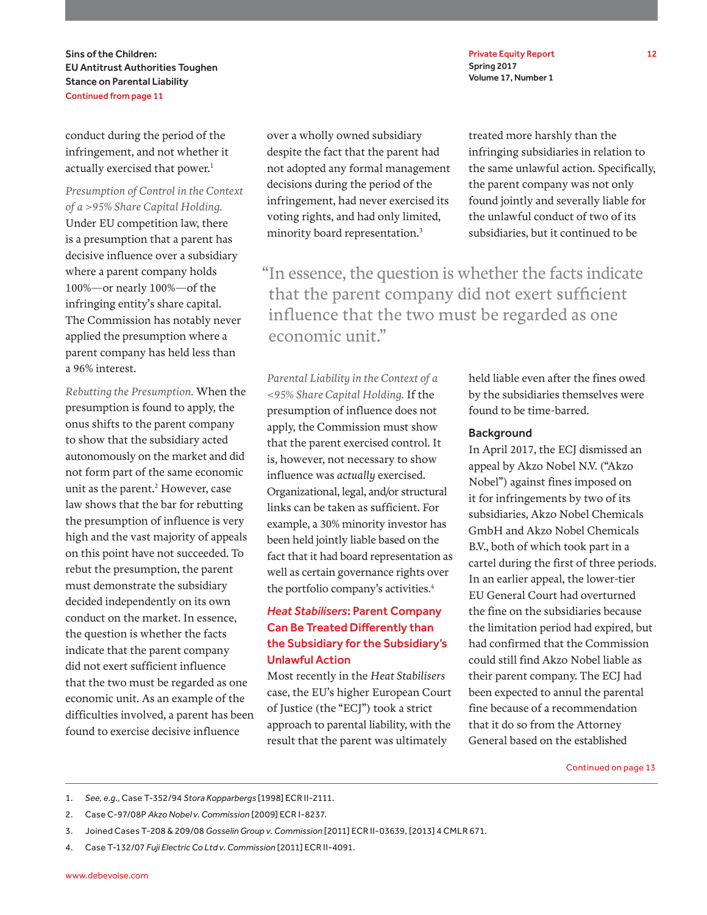Sins of the Children: EU Antitrust Authorities Toughen Stance on Parental Liability Continued from page 11

conduct during the period of the infringement, and not whether it actually exercised that power.<sup>1</sup>

*Presumption of Control in the Context of a >95% Share Capital Holding.* Under EU competition law, there is a presumption that a parent has decisive influence over a subsidiary where a parent company holds 100%—or nearly 100%—of the infringing entity's share capital. The Commission has notably never applied the presumption where a parent company has held less than a 96% interest.

*Rebutting the Presumption.* When the presumption is found to apply, the onus shifts to the parent company to show that the subsidiary acted autonomously on the market and did not form part of the same economic unit as the parent.<sup>2</sup> However, case law shows that the bar for rebutting the presumption of influence is very high and the vast majority of appeals on this point have not succeeded. To rebut the presumption, the parent must demonstrate the subsidiary decided independently on its own conduct on the market. In essence, the question is whether the facts indicate that the parent company did not exert sufficient influence that the two must be regarded as one economic unit. As an example of the difficulties involved, a parent has been found to exercise decisive influence

over a wholly owned subsidiary despite the fact that the parent had not adopted any formal management decisions during the period of the infringement, had never exercised its voting rights, and had only limited, minority board representation.3

treated more harshly than the infringing subsidiaries in relation to the same unlawful action. Specifically, the parent company was not only found jointly and severally liable for the unlawful conduct of two of its subsidiaries, but it continued to be

"In essence, the question is whether the facts indicate that the parent company did not exert sufficient influence that the two must be regarded as one economic unit."

*Parental Liability in the Context of a <95% Share Capital Holding.* If the presumption of influence does not apply, the Commission must show that the parent exercised control. It is, however, not necessary to show influence was *actually* exercised. Organizational, legal, and/or structural links can be taken as sufficient. For example, a 30% minority investor has been held jointly liable based on the fact that it had board representation as well as certain governance rights over the portfolio company's activities.<sup>4</sup>

### *Heat Stabilisers*: Parent Company Can Be Treated Differently than the Subsidiary for the Subsidiary's Unlawful Action

Most recently in the *Heat Stabilisers* case, the EU's higher European Court of Justice (the "ECJ") took a strict approach to parental liability, with the result that the parent was ultimately

held liable even after the fines owed by the subsidiaries themselves were found to be time-barred.

### **Background**

In April 2017, the ECJ dismissed an appeal by Akzo Nobel N.V. ("Akzo Nobel") against fines imposed on it for infringements by two of its subsidiaries, Akzo Nobel Chemicals GmbH and Akzo Nobel Chemicals B.V., both of which took part in a cartel during the first of three periods. In an earlier appeal, the lower-tier EU General Court had overturned the fine on the subsidiaries because the limitation period had expired, but had confirmed that the Commission could still find Akzo Nobel liable as their parent company. The ECJ had been expected to annul the parental fine because of a recommendation that it do so from the Attorney General based on the established

Continued on page 13

- 1. *See, e.g.,* Case T-352/94 *Stora Kopparbergs* [1998] ECR II-2111.
- 2. Case C-97/08P *Akzo Nobel v. Commission* [2009] ECR I-8237.
- 3. Joined Cases T-208 & 209/08 *Gosselin Group v. Commission* [2011] ECR II-03639, [2013] 4 CMLR 671.
- 4. Case T-132/07 *Fuji Electric Co Ltd v. Commission* [2011] ECR II-4091.

Private Equity Report 12 Spring 2017 Volume 17, Number 1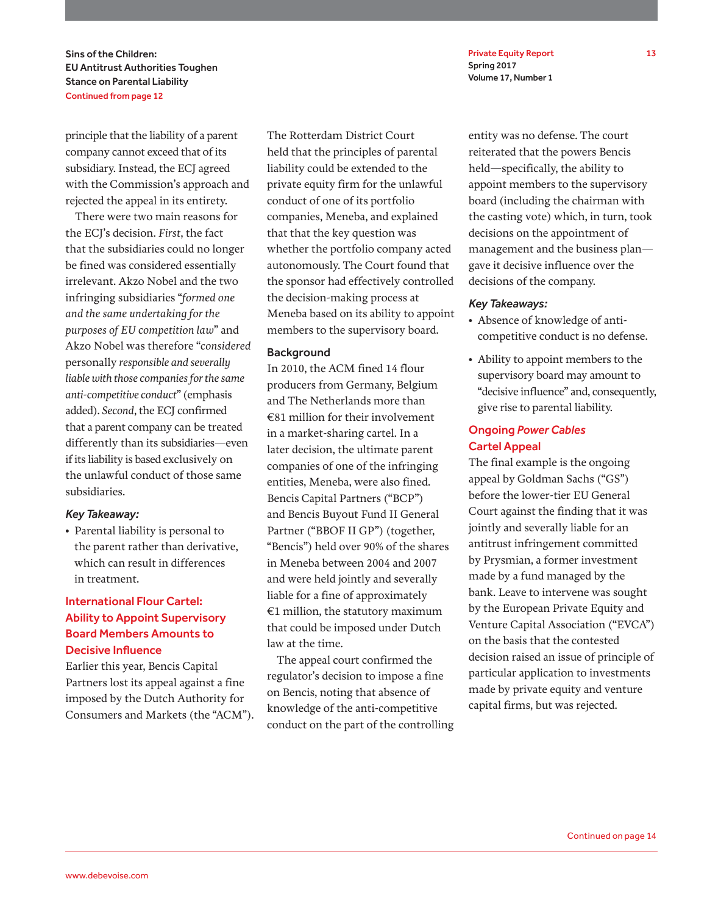Private Equity Report 13 Spring 2017 Volume 17, Number 1

Sins of the Children: EU Antitrust Authorities Toughen Stance on Parental Liability Continued from page 12

principle that the liability of a parent company cannot exceed that of its subsidiary. Instead, the ECJ agreed with the Commission's approach and rejected the appeal in its entirety.

There were two main reasons for the ECJ's decision. *First*, the fact that the subsidiaries could no longer be fined was considered essentially irrelevant. Akzo Nobel and the two infringing subsidiaries "*formed one and the same undertaking for the purposes of EU competition law*" and Akzo Nobel was therefore "*considered*  personally *responsible and severally liable with those companies for the same anti-competitive conduct*" (emphasis added). *Second*, the ECJ confirmed that a parent company can be treated differently than its subsidiaries—even if its liability is based exclusively on the unlawful conduct of those same subsidiaries.

### *Key Takeaway:*

• Parental liability is personal to the parent rather than derivative, which can result in differences in treatment.

### International Flour Cartel: Ability to Appoint Supervisory Board Members Amounts to Decisive Influence

Earlier this year, Bencis Capital Partners lost its appeal against a fine imposed by the Dutch Authority for Consumers and Markets (the "ACM"). The Rotterdam District Court held that the principles of parental liability could be extended to the private equity firm for the unlawful conduct of one of its portfolio companies, Meneba, and explained that that the key question was whether the portfolio company acted autonomously. The Court found that the sponsor had effectively controlled the decision-making process at Meneba based on its ability to appoint members to the supervisory board.

### **Background**

In 2010, the ACM fined 14 flour producers from Germany, Belgium and The Netherlands more than €81 million for their involvement in a market-sharing cartel. In a later decision, the ultimate parent companies of one of the infringing entities, Meneba, were also fined. Bencis Capital Partners ("BCP") and Bencis Buyout Fund II General Partner ("BBOF II GP") (together, "Bencis") held over 90% of the shares in Meneba between 2004 and 2007 and were held jointly and severally liable for a fine of approximately €1 million, the statutory maximum that could be imposed under Dutch law at the time.

The appeal court confirmed the regulator's decision to impose a fine on Bencis, noting that absence of knowledge of the anti-competitive conduct on the part of the controlling entity was no defense. The court reiterated that the powers Bencis held—specifically, the ability to appoint members to the supervisory board (including the chairman with the casting vote) which, in turn, took decisions on the appointment of management and the business plan gave it decisive influence over the decisions of the company.

### *Key Takeaways:*

- Absence of knowledge of anticompetitive conduct is no defense.
- Ability to appoint members to the supervisory board may amount to "decisive influence" and, consequently, give rise to parental liability.

### Ongoing *Power Cables* Cartel Appeal

The final example is the ongoing appeal by Goldman Sachs ("GS") before the lower-tier EU General Court against the finding that it was jointly and severally liable for an antitrust infringement committed by Prysmian, a former investment made by a fund managed by the bank. Leave to intervene was sought by the European Private Equity and Venture Capital Association ("EVCA") on the basis that the contested decision raised an issue of principle of particular application to investments made by private equity and venture capital firms, but was rejected.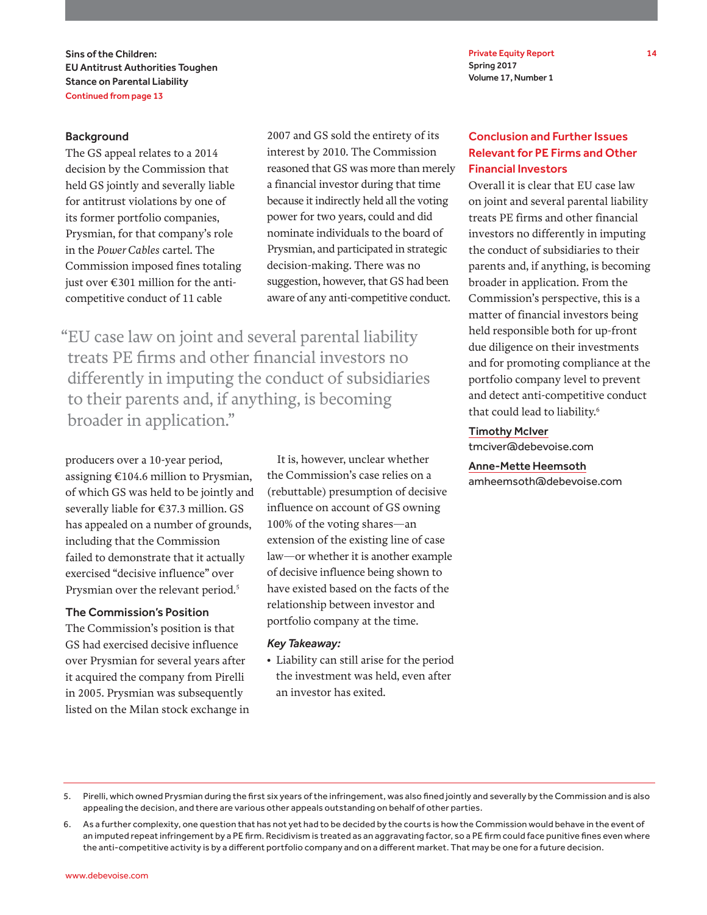Sins of the Children: EU Antitrust Authorities Toughen Stance on Parental Liability Continued from page 13

Private Equity Report 14 Spring 2017 Volume 17, Number 1

### **Background**

The GS appeal relates to a 2014 decision by the Commission that held GS jointly and severally liable for antitrust violations by one of its former portfolio companies, Prysmian, for that company's role in the *Power Cables* cartel. The Commission imposed fines totaling just over €301 million for the anticompetitive conduct of 11 cable

2007 and GS sold the entirety of its interest by 2010. The Commission reasoned that GS was more than merely a financial investor during that time because it indirectly held all the voting power for two years, could and did nominate individuals to the board of Prysmian, and participated in strategic decision-making. There was no suggestion, however, that GS had been aware of any anti-competitive conduct.

"EU case law on joint and several parental liability treats PE firms and other financial investors no differently in imputing the conduct of subsidiaries to their parents and, if anything, is becoming broader in application."

producers over a 10-year period, assigning €104.6 million to Prysmian, of which GS was held to be jointly and severally liable for €37.3 million. GS has appealed on a number of grounds, including that the Commission failed to demonstrate that it actually exercised "decisive influence" over Prysmian over the relevant period.<sup>5</sup>

#### The Commission's Position

The Commission's position is that GS had exercised decisive influence over Prysmian for several years after it acquired the company from Pirelli in 2005. Prysmian was subsequently listed on the Milan stock exchange in

It is, however, unclear whether the Commission's case relies on a (rebuttable) presumption of decisive influence on account of GS owning 100% of the voting shares—an extension of the existing line of case law—or whether it is another example of decisive influence being shown to have existed based on the facts of the relationship between investor and portfolio company at the time.

#### *Key Takeaway:*

• Liability can still arise for the period the investment was held, even after an investor has exited.

### Conclusion and Further Issues Relevant for PE Firms and Other Financial Investors

Overall it is clear that EU case law on joint and several parental liability treats PE firms and other financial investors no differently in imputing the conduct of subsidiaries to their parents and, if anything, is becoming broader in application. From the Commission's perspective, this is a matter of financial investors being held responsible both for up-front due diligence on their investments and for promoting compliance at the portfolio company level to prevent and detect anti-competitive conduct that could lead to liability.<sup>6</sup>

#### Timothy McIver

tmciver@debevoise.com

### Anne-Mette Heemsoth

amheemsoth@debevoise.com

<sup>5.</sup> Pirelli, which owned Prysmian during the first six years of the infringement, was also fined jointly and severally by the Commission and is also appealing the decision, and there are various other appeals outstanding on behalf of other parties.

<sup>6.</sup> As a further complexity, one question that has not yet had to be decided by the courts is how the Commission would behave in the event of an imputed repeat infringement by a PE firm. Recidivism is treated as an aggravating factor, so a PE firm could face punitive fines even where the anti-competitive activity is by a different portfolio company and on a different market. That may be one for a future decision.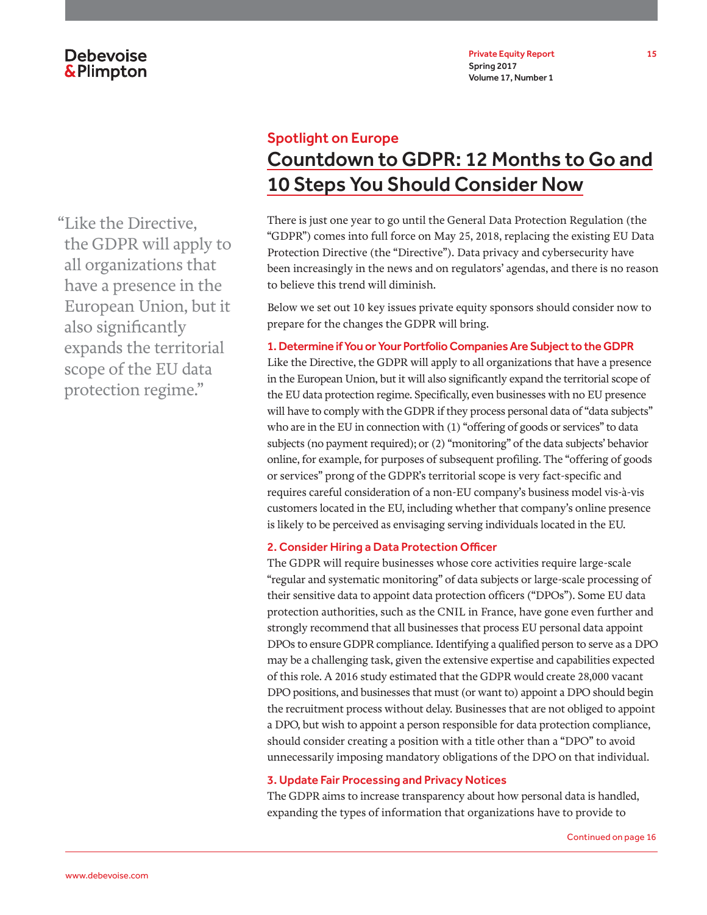# Spotlight on Europe Countdown to GDPR: 12 Months to Go and 10 Steps You Should Consider Now

There is just one year to go until the General Data Protection Regulation (the "GDPR") comes into full force on May 25, 2018, replacing the existing EU Data Protection Directive (the "Directive"). Data privacy and cybersecurity have been increasingly in the news and on regulators' agendas, and there is no reason to believe this trend will diminish.

Below we set out 10 key issues private equity sponsors should consider now to prepare for the changes the GDPR will bring.

### 1. Determine if You or Your Portfolio Companies Are Subject to the GDPR

Like the Directive, the GDPR will apply to all organizations that have a presence in the European Union, but it will also significantly expand the territorial scope of the EU data protection regime. Specifically, even businesses with no EU presence will have to comply with the GDPR if they process personal data of "data subjects" who are in the EU in connection with (1) "offering of goods or services" to data subjects (no payment required); or (2) "monitoring" of the data subjects' behavior online, for example, for purposes of subsequent profiling. The "offering of goods or services" prong of the GDPR's territorial scope is very fact-specific and requires careful consideration of a non-EU company's business model vis-à-vis customers located in the EU, including whether that company's online presence is likely to be perceived as envisaging serving individuals located in the EU.

### 2. Consider Hiring a Data Protection Officer

The GDPR will require businesses whose core activities require large-scale "regular and systematic monitoring" of data subjects or large-scale processing of their sensitive data to appoint data protection officers ("DPOs"). Some EU data protection authorities, such as the CNIL in France, have gone even further and strongly recommend that all businesses that process EU personal data appoint DPOs to ensure GDPR compliance. Identifying a qualified person to serve as a DPO may be a challenging task, given the extensive expertise and capabilities expected of this role. A 2016 study estimated that the GDPR would create 28,000 vacant DPO positions, and businesses that must (or want to) appoint a DPO should begin the recruitment process without delay. Businesses that are not obliged to appoint a DPO, but wish to appoint a person responsible for data protection compliance, should consider creating a position with a title other than a "DPO" to avoid unnecessarily imposing mandatory obligations of the DPO on that individual.

### 3. Update Fair Processing and Privacy Notices

The GDPR aims to increase transparency about how personal data is handled, expanding the types of information that organizations have to provide to

"Like the Directive, the GDPR will apply to all organizations that have a presence in the European Union, but it also significantly expands the territorial scope of the EU data protection regime."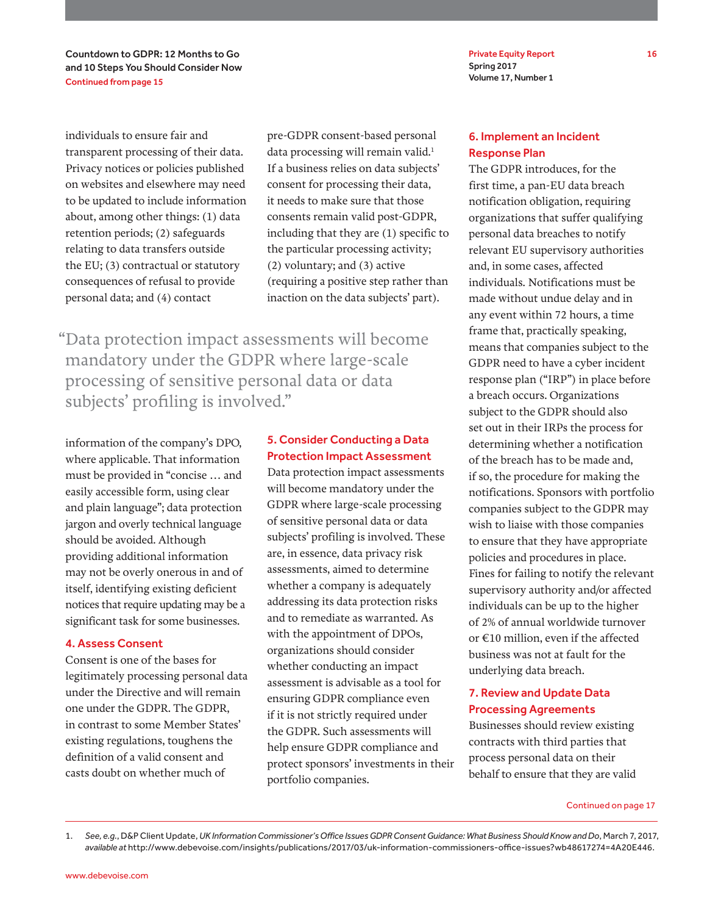Countdown to GDPR: 12 Months to Go and 10 Steps You Should Consider Now Continued from page 15

individuals to ensure fair and transparent processing of their data. Privacy notices or policies published on websites and elsewhere may need to be updated to include information about, among other things: (1) data retention periods; (2) safeguards relating to data transfers outside the EU; (3) contractual or statutory consequences of refusal to provide personal data; and (4) contact

pre-GDPR consent-based personal data processing will remain valid.<sup>1</sup> If a business relies on data subjects' consent for processing their data, it needs to make sure that those consents remain valid post-GDPR, including that they are (1) specific to the particular processing activity; (2) voluntary; and (3) active (requiring a positive step rather than inaction on the data subjects' part).

"Data protection impact assessments will become mandatory under the GDPR where large-scale processing of sensitive personal data or data subjects' profiling is involved."

information of the company's DPO, where applicable. That information must be provided in "concise … and easily accessible form, using clear and plain language"; data protection jargon and overly technical language should be avoided. Although providing additional information may not be overly onerous in and of itself, identifying existing deficient notices that require updating may be a significant task for some businesses.

#### 4. Assess Consent

Consent is one of the bases for legitimately processing personal data under the Directive and will remain one under the GDPR. The GDPR, in contrast to some Member States' existing regulations, toughens the definition of a valid consent and casts doubt on whether much of

### 5. Consider Conducting a Data Protection Impact Assessment

Data protection impact assessments will become mandatory under the GDPR where large-scale processing of sensitive personal data or data subjects' profiling is involved. These are, in essence, data privacy risk assessments, aimed to determine whether a company is adequately addressing its data protection risks and to remediate as warranted. As with the appointment of DPOs, organizations should consider whether conducting an impact assessment is advisable as a tool for ensuring GDPR compliance even if it is not strictly required under the GDPR. Such assessments will help ensure GDPR compliance and protect sponsors' investments in their portfolio companies.

Private Equity Report 16 Spring 2017 Volume 17, Number 1

### 6. Implement an Incident Response Plan

The GDPR introduces, for the first time, a pan-EU data breach notification obligation, requiring organizations that suffer qualifying personal data breaches to notify relevant EU supervisory authorities and, in some cases, affected individuals. Notifications must be made without undue delay and in any event within 72 hours, a time frame that, practically speaking, means that companies subject to the GDPR need to have a cyber incident response plan ("IRP") in place before a breach occurs. Organizations subject to the GDPR should also set out in their IRPs the process for determining whether a notification of the breach has to be made and, if so, the procedure for making the notifications. Sponsors with portfolio companies subject to the GDPR may wish to liaise with those companies to ensure that they have appropriate policies and procedures in place. Fines for failing to notify the relevant supervisory authority and/or affected individuals can be up to the higher of 2% of annual worldwide turnover or €10 million, even if the affected business was not at fault for the underlying data breach.

### 7. Review and Update Data Processing Agreements

Businesses should review existing contracts with third parties that process personal data on their behalf to ensure that they are valid

1. *See, e.g.*, D&P Client Update, *UK Information Commissioner's Office Issues GDPR Consent Guidance: What Business Should Know and Do*, March 7, 2017, *available at* http://www.debevoise.com/insights/publications/2017/03/uk-information-commissioners-office-issues?wb48617274=4A20E446.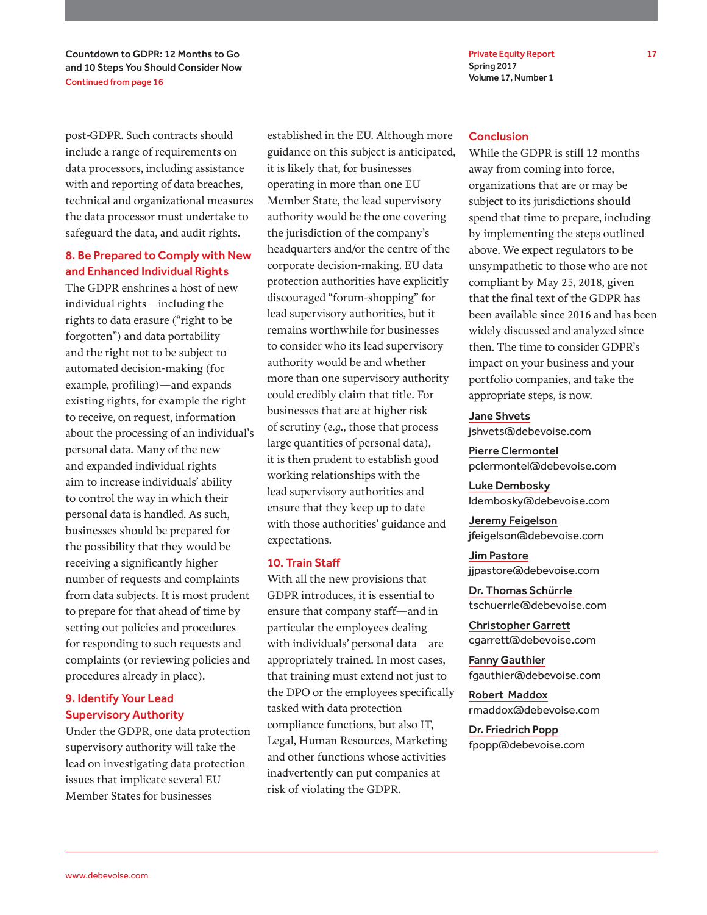Private Equity Report 17 Spring 2017 Volume 17, Number 1

Countdown to GDPR: 12 Months to Go and 10 Steps You Should Consider Now Continued from page 16

post-GDPR. Such contracts should include a range of requirements on data processors, including assistance with and reporting of data breaches, technical and organizational measures the data processor must undertake to safeguard the data, and audit rights.

### 8. Be Prepared to Comply with New and Enhanced Individual Rights

The GDPR enshrines a host of new individual rights—including the rights to data erasure ("right to be forgotten") and data portability and the right not to be subject to automated decision-making (for example, profiling)—and expands existing rights, for example the right to receive, on request, information about the processing of an individual's personal data. Many of the new and expanded individual rights aim to increase individuals' ability to control the way in which their personal data is handled. As such, businesses should be prepared for the possibility that they would be receiving a significantly higher number of requests and complaints from data subjects. It is most prudent to prepare for that ahead of time by setting out policies and procedures for responding to such requests and complaints (or reviewing policies and procedures already in place).

### 9. Identify Your Lead Supervisory Authority

Under the GDPR, one data protection supervisory authority will take the lead on investigating data protection issues that implicate several EU Member States for businesses

established in the EU. Although more guidance on this subject is anticipated, it is likely that, for businesses operating in more than one EU Member State, the lead supervisory authority would be the one covering the jurisdiction of the company's headquarters and/or the centre of the corporate decision-making. EU data protection authorities have explicitly discouraged "forum-shopping" for lead supervisory authorities, but it remains worthwhile for businesses to consider who its lead supervisory authority would be and whether more than one supervisory authority could credibly claim that title. For businesses that are at higher risk of scrutiny (*e.g.*, those that process large quantities of personal data), it is then prudent to establish good working relationships with the lead supervisory authorities and ensure that they keep up to date with those authorities' guidance and expectations.

### 10. Train Staff

With all the new provisions that GDPR introduces, it is essential to ensure that company staff—and in particular the employees dealing with individuals' personal data—are appropriately trained. In most cases, that training must extend not just to the DPO or the employees specifically tasked with data protection compliance functions, but also IT, Legal, Human Resources, Marketing and other functions whose activities inadvertently can put companies at risk of violating the GDPR.

### **Conclusion**

While the GDPR is still 12 months away from coming into force, organizations that are or may be subject to its jurisdictions should spend that time to prepare, including by implementing the steps outlined above. We expect regulators to be unsympathetic to those who are not compliant by May 25, 2018, given that the final text of the GDPR has been available since 2016 and has been widely discussed and analyzed since then. The time to consider GDPR's impact on your business and your portfolio companies, and take the appropriate steps, is now.

### Jane Shvets

jshvets@debevoise.com

Pierre Clermontel pclermontel@debevoise.com

Luke Dembosky ldembosky@debevoise.com

Jeremy Feigelson jfeigelson@debevoise.com

Jim Pastore jjpastore@debevoise.com

Dr. Thomas Schürrle tschuerrle@debevoise.com

Christopher Garrett cgarrett@debevoise.com

Fanny Gauthier fgauthier@debevoise.com

Robert Maddox rmaddox@debevoise.com

Dr. Friedrich Popp fpopp@debevoise.com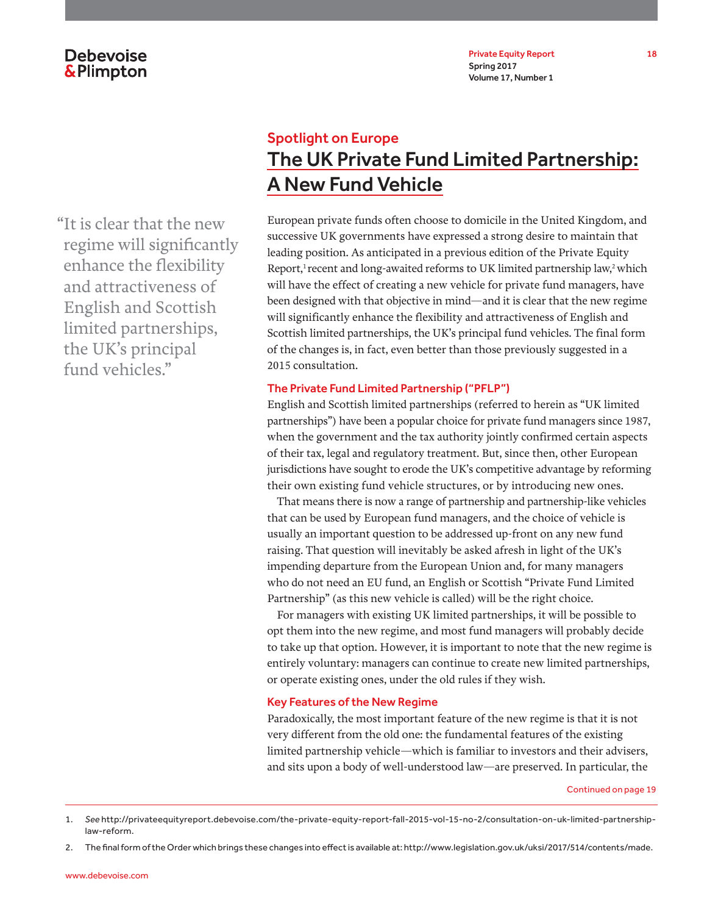

Spotlight on Europe The UK Private Fund Limited Partnership: A New Fund Vehicle

European private funds often choose to domicile in the United Kingdom, and successive UK governments have expressed a strong desire to maintain that leading position. As anticipated in a previous edition of the Private Equity Report,<sup>1</sup> recent and long-awaited reforms to UK limited partnership law,<sup>2</sup> which will have the effect of creating a new vehicle for private fund managers, have been designed with that objective in mind—and it is clear that the new regime will significantly enhance the flexibility and attractiveness of English and Scottish limited partnerships, the UK's principal fund vehicles. The final form of the changes is, in fact, even better than those previously suggested in a 2015 consultation.

### The Private Fund Limited Partnership ("PFLP")

English and Scottish limited partnerships (referred to herein as "UK limited partnerships") have been a popular choice for private fund managers since 1987, when the government and the tax authority jointly confirmed certain aspects of their tax, legal and regulatory treatment. But, since then, other European jurisdictions have sought to erode the UK's competitive advantage by reforming their own existing fund vehicle structures, or by introducing new ones.

That means there is now a range of partnership and partnership-like vehicles that can be used by European fund managers, and the choice of vehicle is usually an important question to be addressed up-front on any new fund raising. That question will inevitably be asked afresh in light of the UK's impending departure from the European Union and, for many managers who do not need an EU fund, an English or Scottish "Private Fund Limited Partnership" (as this new vehicle is called) will be the right choice.

For managers with existing UK limited partnerships, it will be possible to opt them into the new regime, and most fund managers will probably decide to take up that option. However, it is important to note that the new regime is entirely voluntary: managers can continue to create new limited partnerships, or operate existing ones, under the old rules if they wish.

### Key Features of the New Regime

Paradoxically, the most important feature of the new regime is that it is not very different from the old one: the fundamental features of the existing limited partnership vehicle—which is familiar to investors and their advisers, and sits upon a body of well-understood law—are preserved. In particular, the

Continued on page 19

"It is clear that the new regime will significantly enhance the flexibility and attractiveness of English and Scottish limited partnerships, the UK's principal fund vehicles."

<sup>1.</sup> *See* http://privateequityreport.debevoise.com/the-private-equity-report-fall-2015-vol-15-no-2/consultation-on-uk-limited-partnershiplaw-reform.

<sup>2.</sup> The final form of the Order which brings these changes into effect is available at: http://www.legislation.gov.uk/uksi/2017/514/contents/made.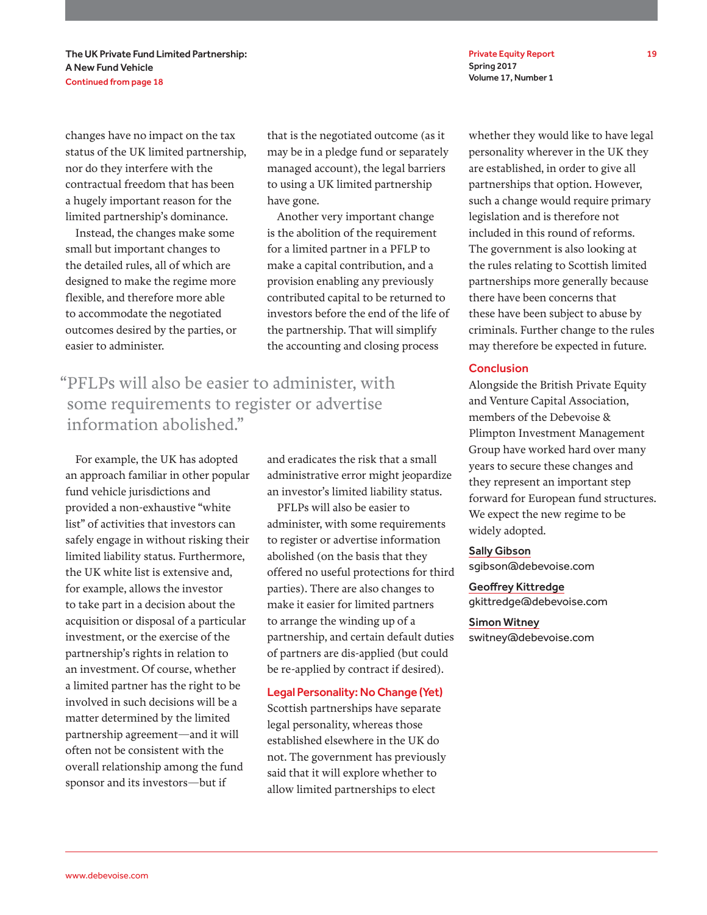The UK Private Fund Limited Partnership: A New Fund Vehicle Continued from page 18

changes have no impact on the tax status of the UK limited partnership, nor do they interfere with the contractual freedom that has been a hugely important reason for the limited partnership's dominance.

Instead, the changes make some small but important changes to the detailed rules, all of which are designed to make the regime more flexible, and therefore more able to accommodate the negotiated outcomes desired by the parties, or easier to administer.

that is the negotiated outcome (as it may be in a pledge fund or separately managed account), the legal barriers to using a UK limited partnership have gone.

Another very important change is the abolition of the requirement for a limited partner in a PFLP to make a capital contribution, and a provision enabling any previously contributed capital to be returned to investors before the end of the life of the partnership. That will simplify the accounting and closing process

"PFLPs will also be easier to administer, with some requirements to register or advertise information abolished."

For example, the UK has adopted an approach familiar in other popular fund vehicle jurisdictions and provided a non-exhaustive "white list" of activities that investors can safely engage in without risking their limited liability status. Furthermore, the UK white list is extensive and, for example, allows the investor to take part in a decision about the acquisition or disposal of a particular investment, or the exercise of the partnership's rights in relation to an investment. Of course, whether a limited partner has the right to be involved in such decisions will be a matter determined by the limited partnership agreement—and it will often not be consistent with the overall relationship among the fund sponsor and its investors—but if

and eradicates the risk that a small administrative error might jeopardize an investor's limited liability status.

PFLPs will also be easier to administer, with some requirements to register or advertise information abolished (on the basis that they offered no useful protections for third parties). There are also changes to make it easier for limited partners to arrange the winding up of a partnership, and certain default duties of partners are dis-applied (but could be re-applied by contract if desired).

#### Legal Personality: No Change (Yet)

Scottish partnerships have separate legal personality, whereas those established elsewhere in the UK do not. The government has previously said that it will explore whether to allow limited partnerships to elect

Private Equity Report 19 Spring 2017 Volume 17, Number 1

whether they would like to have legal personality wherever in the UK they are established, in order to give all partnerships that option. However, such a change would require primary legislation and is therefore not included in this round of reforms. The government is also looking at the rules relating to Scottish limited partnerships more generally because there have been concerns that these have been subject to abuse by criminals. Further change to the rules may therefore be expected in future.

### **Conclusion**

Alongside the British Private Equity and Venture Capital Association, members of the Debevoise & Plimpton Investment Management Group have worked hard over many years to secure these changes and they represent an important step forward for European fund structures. We expect the new regime to be widely adopted.

#### Sally Gibson

sgibson@debevoise.com

### Geoffrey Kittredge gkittredge@debevoise.com

#### Simon Witney

switney@debevoise.com